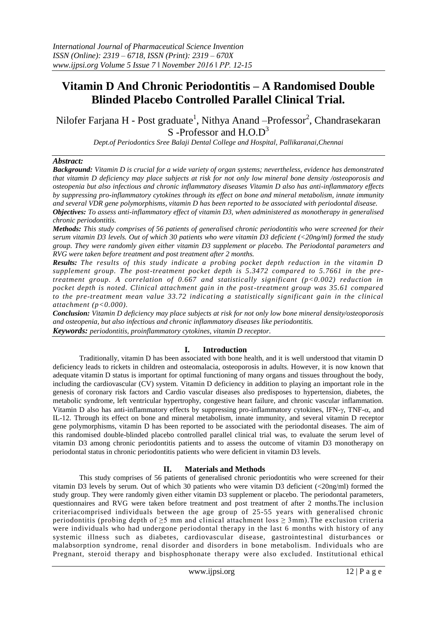# **Vitamin D And Chronic Periodontitis – A Randomised Double Blinded Placebo Controlled Parallel Clinical Trial.**

Nilofer Farjana H - Post graduate<sup>1</sup>, Nithya Anand –Professor<sup>2</sup>, Chandrasekaran S-Professor and H.O.D<sup>3</sup>

*Dept.of Periodontics Sree Balaji Dental College and Hospital, Pallikaranai,Chennai*

#### *Abstract:*

*Background: Vitamin D is crucial for a wide variety of organ systems; nevertheless, evidence has demonstrated that vitamin D deficiency may place subjects at risk for not only low mineral bone density /osteoporosis and osteopenia but also infectious and chronic inflammatory diseases Vitamin D also has anti-inflammatory effects by suppressing pro-inflammatory cytokines through its effect on bone and mineral metabolism, innate immunity and several VDR gene polymorphisms, vitamin D has been reported to be associated with periodontal disease.*

*Objectives: To assess anti-inflammatory effect of vitamin D3, when administered as monotherapy in generalised chronic periodontitis.*

*Methods: This study comprises of 56 patients of generalised chronic periodontitis who were screened for their serum vitamin D3 levels. Out of which 30 patients who were vitamin D3 deficient (<20ng/ml) formed the study group. They were randomly given either vitamin D3 supplement or placebo. The Periodontal parameters and RVG were taken before treatment and post treatment after 2 months.* 

*Results: The results of this study indicate a probing pocket depth reduction in the vitamin D supplement group. The post-treatment pocket depth is 5.3472 compared to 5.7661 in the pretreatment group. A correlation of 0.667 and statistically significant (p<0.002) reduction in pocket depth is noted. Clinical attachment gain in the post-treatment group was 35.61 compared to the pre-treatment mean value 33.72 indicating a statistically significant gain in the clinical attachment (p<0.000).* 

*Conclusion: Vitamin D deficiency may place subjects at risk for not only low bone mineral density/osteoporosis and osteopenia, but also infectious and chronic inflammatory diseases like periodontitis.*

*Keywords: periodontitis, proinflammatory cytokines, vitamin D receptor.*

#### **I. Introduction**

Traditionally, vitamin D has been associated with bone health, and it is well understood that vitamin D deficiency leads to rickets in children and osteomalacia, osteoporosis in adults. However, it is now known that adequate vitamin D status is important for optimal functioning of many organs and tissues throughout the body, including the cardiovascular (CV) system. Vitamin D deficiency in addition to playing an important role in the genesis of coronary risk factors and Cardio vascular diseases also predisposes to hypertension, diabetes, the metabolic syndrome, left ventricular hypertrophy, congestive heart failure, and chronic vascular inflammation. Vitamin D also has anti-inflammatory effects by suppressing pro-inflammatory cytokines, IFN- $\gamma$ , TNF- $\alpha$ , and IL-12. Through its effect on bone and mineral metabolism, innate immunity, and several vitamin D receptor gene polymorphisms, vitamin D has been reported to be associated with the periodontal diseases. The aim of this randomised double-blinded placebo controlled parallel clinical trial was, to evaluate the serum level of vitamin D3 among chronic periodontitis patients and to assess the outcome of vitamin D3 monotherapy on periodontal status in chronic periodontitis patients who were deficient in vitamin D3 levels.

#### **II. Materials and Methods**

This study comprises of 56 patients of generalised chronic periodontitis who were screened for their vitamin D3 levels by serum. Out of which 30 patients who were vitamin D3 deficient (<20ng/ml) formed the study group. They were randomly given either vitamin D3 supplement or placebo. The periodontal parameters, questionnaires and RVG were taken before treatment and post treatment of after 2 months.The inclusion criteriacomprised individuals between the age group of 25-55 years with generalised chronic periodontitis (probing depth of  $\geq$ 5 mm and clinical attachment loss  $\geq$  3mm). The exclusion criteria were individuals who had undergone periodontal therapy in the last 6 months with history of any systemic illness such as diabetes, cardiovascular disease, gastrointestinal disturbances or malabsorption syndrome, renal disorder and disorders in bone metabolism. Individuals who are Pregnant, steroid therapy and bisphosphonate therapy were also excluded. Institutional ethical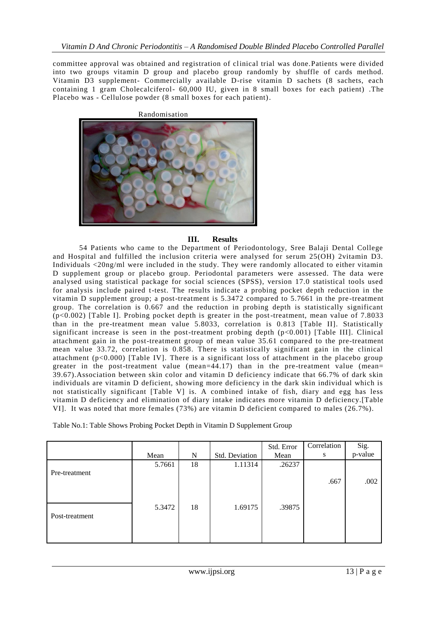committee approval was obtained and registration of clinical trial was done.Patients were divided into two groups vitamin D group and placebo group randomly by shuffle of cards method. Vitamin D3 supplement- Commercially available D-rise vitamin D sachets (8 sachets, each containing 1 gram Cholecalciferol- 60,000 IU, given in 8 small boxes for each patient) .The Placebo was - Cellulose powder (8 small boxes for each patient).



## **III. Results**

54 Patients who came to the Department of Periodontology, Sree Balaji Dental College and Hospital and fulfilled the inclusion criteria were analysed for serum 25(OH) 2vitamin D3. Individuals <20ng/ml were included in the study. They were randomly allocated to either vitamin D supplement group or placebo group. Periodontal parameters were assessed. The data were analysed using statistical package for social sciences (SPSS), version 17.0 statistical tools used for analysis include paired t-test. The results indicate a probing pocket depth reduction in the vitamin D supplement group; a post-treatment is 5.3472 compared to 5.7661 in the pre -treatment group. The correlation is 0.667 and the reduction in probing depth is statistically significant (p<0.002) [Table I]. Probing pocket depth is greater in the post-treatment, mean value of 7.8033 than in the pre-treatment mean value 5.8033, correlation is 0.813 [Table II]. Statistically significant increase is seen in the post-treatment probing depth (p<0.001) [Table III]. Clinical attachment gain in the post-treatment group of mean value 35.61 compared to the pre-treatment mean value 33.72, correlation is 0.858. There is statistically significant gain in the clinical attachment (p<0.000) [Table IV]. There is a significant loss of attachment in the placebo group greater in the post-treatment value (mean= $\frac{44.17}{ }$ ) than in the pre-treatment value (mean= 39.67).Association between skin color and vitamin D deficiency indicate that 66.7% of dark skin individuals are vitamin D deficient, showing more deficiency in the dark skin individual which is not statistically significant [Table V] is. A combined intake of fish, diary and egg has less vitamin D deficiency and elimination of diary intake indicates more vitamin D deficiency.[Table VI]. It was noted that more females (73%) are vitamin D deficient compared to males (26.7%).

Table No.1: Table Shows Probing Pocket Depth in Vitamin D Supplement Group

|                |        |    |                | Std. Error | Correlation | Sig.    |
|----------------|--------|----|----------------|------------|-------------|---------|
|                | Mean   | N  | Std. Deviation | Mean       | S           | p-value |
|                | 5.7661 | 18 | 1.11314        | .26237     |             |         |
| Pre-treatment  |        |    |                |            | .667        | .002    |
| Post-treatment | 5.3472 | 18 | 1.69175        | .39875     |             |         |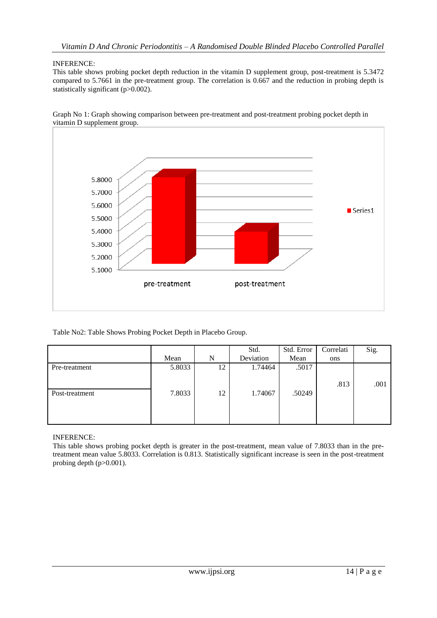## INFERENCE:

This table shows probing pocket depth reduction in the vitamin D supplement group, post-treatment is 5.3472 compared to 5.7661 in the pre-treatment group. The correlation is 0.667 and the reduction in probing depth is statistically significant (p>0.002).



Graph No 1: Graph showing comparison between pre-treatment and post-treatment probing pocket depth in vitamin D supplement group.

Table No2: Table Shows Probing Pocket Depth in Placebo Group.

|                |        |    | Std.      | Std. Error | Correlati | Sig. |
|----------------|--------|----|-----------|------------|-----------|------|
|                | Mean   | N  | Deviation | Mean       | ons       |      |
| Pre-treatment  | 5.8033 | 12 | 1.74464   | .5017      |           |      |
|                |        |    |           |            | .813      | .001 |
| Post-treatment | 7.8033 | 12 | 1.74067   | .50249     |           |      |
|                |        |    |           |            |           |      |
|                |        |    |           |            |           |      |

INFERENCE:

This table shows probing pocket depth is greater in the post-treatment, mean value of 7.8033 than in the pretreatment mean value 5.8033. Correlation is 0.813. Statistically significant increase is seen in the post-treatment probing depth (p>0.001).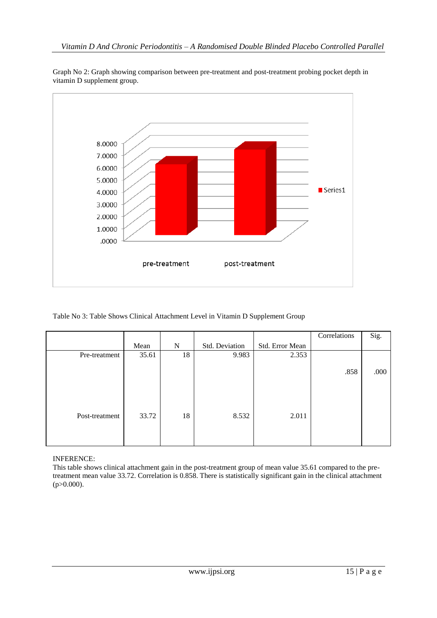

Graph No 2: Graph showing comparison between pre-treatment and post-treatment probing pocket depth in vitamin D supplement group.

# Table No 3: Table Shows Clinical Attachment Level in Vitamin D Supplement Group

|                |       |    |                |                 | Correlations | Sig. |
|----------------|-------|----|----------------|-----------------|--------------|------|
|                | Mean  | N  | Std. Deviation | Std. Error Mean |              |      |
| Pre-treatment  | 35.61 | 18 | 9.983          | 2.353           |              |      |
|                |       |    |                |                 |              |      |
|                |       |    |                |                 | .858         | .000 |
|                |       |    |                |                 |              |      |
|                |       |    |                |                 |              |      |
|                |       |    |                |                 |              |      |
|                |       |    |                |                 |              |      |
| Post-treatment | 33.72 | 18 | 8.532          | 2.011           |              |      |
|                |       |    |                |                 |              |      |
|                |       |    |                |                 |              |      |
|                |       |    |                |                 |              |      |

INFERENCE:

This table shows clinical attachment gain in the post-treatment group of mean value 35.61 compared to the pretreatment mean value 33.72. Correlation is 0.858. There is statistically significant gain in the clinical attachment  $(p>0.000)$ .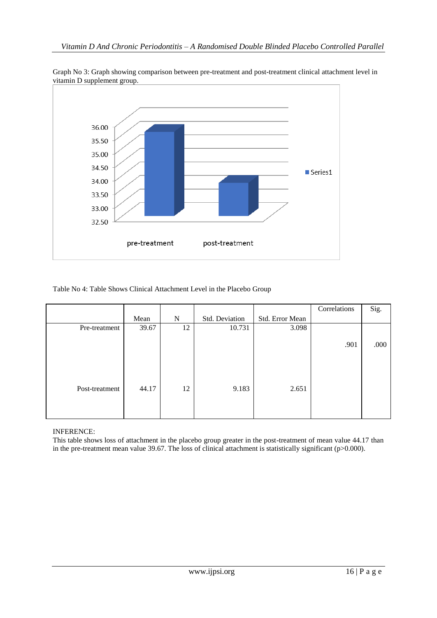

Graph No 3: Graph showing comparison between pre-treatment and post-treatment clinical attachment level in vitamin D supplement group.

Table No 4: Table Shows Clinical Attachment Level in the Placebo Group

|                |       |    |                |                 | Correlations | Sig. |
|----------------|-------|----|----------------|-----------------|--------------|------|
|                | Mean  | N  | Std. Deviation | Std. Error Mean |              |      |
| Pre-treatment  | 39.67 | 12 | 10.731         | 3.098           |              |      |
|                |       |    |                |                 |              |      |
|                |       |    |                |                 | .901         | .000 |
|                |       |    |                |                 |              |      |
|                |       |    |                |                 |              |      |
|                |       |    |                |                 |              |      |
|                |       |    |                |                 |              |      |
| Post-treatment | 44.17 | 12 | 9.183          | 2.651           |              |      |
|                |       |    |                |                 |              |      |
|                |       |    |                |                 |              |      |
|                |       |    |                |                 |              |      |

INFERENCE:

This table shows loss of attachment in the placebo group greater in the post-treatment of mean value 44.17 than in the pre-treatment mean value 39.67. The loss of clinical attachment is statistically significant (p>0.000).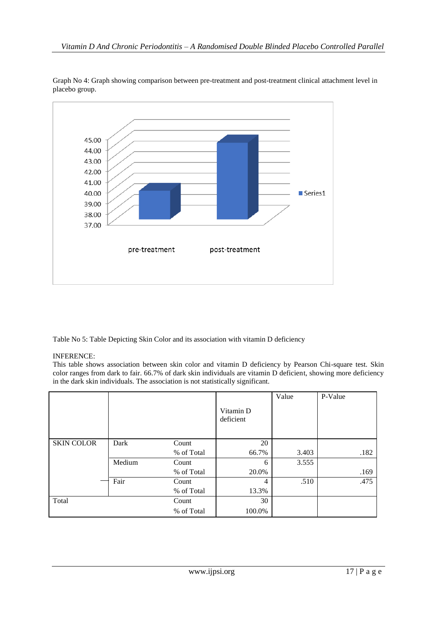

Graph No 4: Graph showing comparison between pre-treatment and post-treatment clinical attachment level in placebo group.

Table No 5: Table Depicting Skin Color and its association with vitamin D deficiency

# INFERENCE:

This table shows association between skin color and vitamin D deficiency by Pearson Chi-square test. Skin color ranges from dark to fair. 66.7% of dark skin individuals are vitamin D deficient, showing more deficiency in the dark skin individuals. The association is not statistically significant.

|                   |        |            |                        | Value | P-Value |
|-------------------|--------|------------|------------------------|-------|---------|
|                   |        |            | Vitamin D<br>deficient |       |         |
| <b>SKIN COLOR</b> | Dark   | Count      | 20                     |       |         |
|                   |        | % of Total | 66.7%                  | 3.403 | .182    |
|                   | Medium | Count      | 6                      | 3.555 |         |
|                   |        | % of Total | 20.0%                  |       | .169    |
|                   | Fair   | Count      | 4                      | .510  | .475    |
|                   |        | % of Total | 13.3%                  |       |         |
| Total             |        | Count      | 30                     |       |         |
|                   |        | % of Total | 100.0%                 |       |         |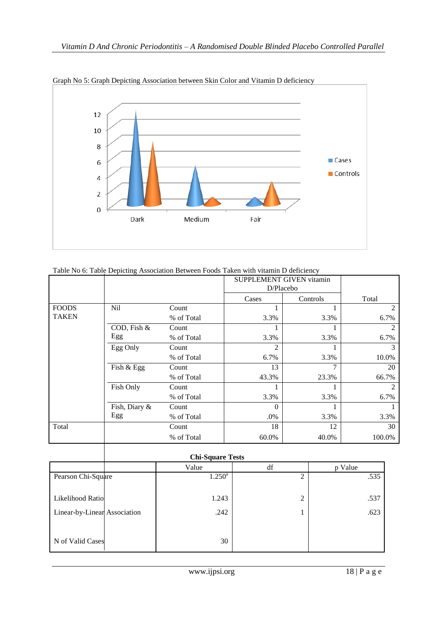

Graph No 5: Graph Depicting Association between Skin Color and Vitamin D deficiency

# Table No 6: Table Depicting Association Between Foods Taken with vitamin D deficiency

|              |               |            | <b>SUPPLEMENT GIVEN vitamin</b><br>D/Placebo |          |        |
|--------------|---------------|------------|----------------------------------------------|----------|--------|
|              |               |            | Cases                                        | Controls | Total  |
| <b>FOODS</b> | Nil           | Count      |                                              |          | 2      |
| <b>TAKEN</b> |               | % of Total | 3.3%                                         | 3.3%     | 6.7%   |
|              | COD, Fish &   | Count      |                                              |          | 2      |
|              | Egg           | % of Total | 3.3%                                         | 3.3%     | 6.7%   |
|              | Egg Only      | Count      | $\mathcal{D}_{1}^{(1)}$                      |          | 3      |
|              |               | % of Total | 6.7%                                         | 3.3%     | 10.0%  |
|              | Fish & Egg    | Count      | 13                                           | 7        | 20     |
|              |               | % of Total | 43.3%                                        | 23.3%    | 66.7%  |
|              | Fish Only     | Count      |                                              |          | 2      |
|              |               | % of Total | 3.3%                                         | 3.3%     | 6.7%   |
|              | Fish, Diary & | Count      | $\Omega$                                     |          |        |
|              | Egg           | % of Total | .0%                                          | 3.3%     | 3.3%   |
| Total        |               | Count      | 18                                           | 12       | 30     |
|              |               | % of Total | 60.0%                                        | 40.0%    | 100.0% |
|              |               |            |                                              |          |        |

|                              | <b>Chi-Square Tests</b> |                 |                |         |  |  |  |
|------------------------------|-------------------------|-----------------|----------------|---------|--|--|--|
|                              |                         | Value           | df             | p Value |  |  |  |
| Pearson Chi-Square           |                         | $1.250^{\rm a}$ | $\overline{2}$ | .535    |  |  |  |
| Likelihood Ratio             |                         | 1.243           | 2              | .537    |  |  |  |
| Linear-by-Linear Association |                         | .242            |                | .623    |  |  |  |
| N of Valid Cases             |                         | 30              |                |         |  |  |  |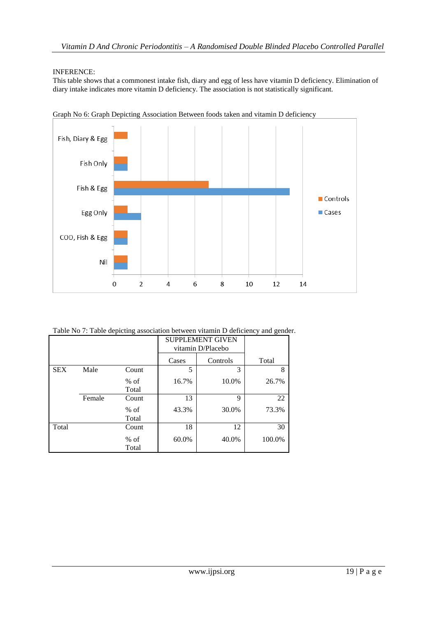## INFERENCE:

This table shows that a commonest intake fish, diary and egg of less have vitamin D deficiency. Elimination of diary intake indicates more vitamin D deficiency. The association is not statistically significant.



Graph No 6: Graph Depicting Association Between foods taken and vitamin D deficiency

Table No 7: Table depicting association between vitamin D deficiency and gender.

|            |        |                 | SUPPLEMENT GIVEN<br>vitamin D/Placebo |       |        |
|------------|--------|-----------------|---------------------------------------|-------|--------|
|            |        |                 | Controls<br>Cases                     |       | Total  |
| <b>SEX</b> | Male   | Count           | 5                                     | 3     | 8      |
|            |        | $%$ of<br>Total | 16.7%                                 | 10.0% | 26.7%  |
|            | Female | Count           | 13                                    | 9     | 22     |
|            |        | $%$ of<br>Total | 43.3%                                 | 30.0% | 73.3%  |
| Total      |        | Count           | 18                                    | 12    | 30     |
|            |        | $%$ of<br>Total | 60.0%                                 | 40.0% | 100.0% |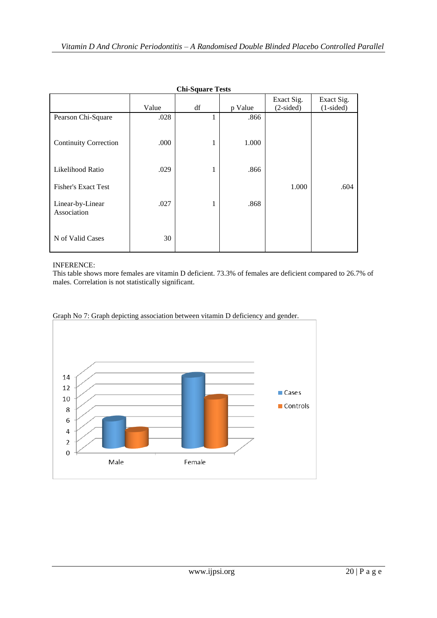| <b>Chi-Square Tests</b>         |       |    |         |                           |                           |  |  |  |
|---------------------------------|-------|----|---------|---------------------------|---------------------------|--|--|--|
|                                 | Value | df | p Value | Exact Sig.<br>$(2-sided)$ | Exact Sig.<br>$(1-sided)$ |  |  |  |
| Pearson Chi-Square              | .028  | 1  | .866    |                           |                           |  |  |  |
| <b>Continuity Correction</b>    | .000  | 1  | 1.000   |                           |                           |  |  |  |
| Likelihood Ratio                | .029  | 1  | .866    |                           |                           |  |  |  |
| <b>Fisher's Exact Test</b>      |       |    |         | 1.000                     | .604                      |  |  |  |
| Linear-by-Linear<br>Association | .027  | 1  | .868    |                           |                           |  |  |  |
| N of Valid Cases                | 30    |    |         |                           |                           |  |  |  |

# INFERENCE:

This table shows more females are vitamin D deficient. 73.3% of females are deficient compared to 26.7% of males. Correlation is not statistically significant.



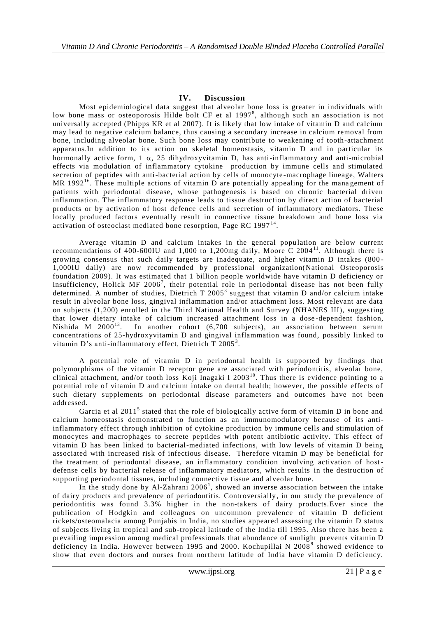# **IV. Discussion**

Most epidemiological data suggest that alveolar bone loss is greater in individuals with low bone mass or osteoporosis Hilde bolt CF et al 1997<sup>8</sup>, although such an association is not universally accepted (Phipps KR et al 2007). It is likely that low intake of vitamin D and calcium may lead to negative calcium balance, thus causing a secondary increase in calcium removal from bone, including alveolar bone. Such bone loss may contribute to weakening of tooth-attachment apparatus.In addition to its action on skeletal homeostasis, vitamin D and in particular its hormonally active form, 1  $\alpha$ , 25 dihydroxyvitamin D, has anti-inflammatory and anti-microbial effects via modulation of inflammatory cytokine production by immune cells and stimulated secretion of peptides with anti-bacterial action by cells of monocyte -macrophage lineage, Walters MR 1992<sup>16</sup>. These multiple actions of vitamin D are potentially appealing for the management of patients with periodontal disease, whose pathogenesis is based on chronic bacterial driven inflammation. The inflammatory response leads to tissue destruction by direct action of bacterial products or by activation of host defence cells and secretion of inflammatory mediators. These locally produced factors eventually result in connective tissue breakdown and bone loss via activation of osteoclast mediated bone resorption, Page RC 1997 $<sup>14</sup>$ .</sup>

Average vitamin D and calcium intakes in the general population are below current recommendations of 400-600IU and 1,000 to 1,200mg daily, Moore C 2004<sup>11</sup>. Although there is growing consensus that such daily targets are inadequate, and higher vitamin D intakes (800 - 1,000IU daily) are now recommended by professional organization(National Osteoporosis foundation 2009). It was estimated that 1 billion people worldwide have vitamin D deficiency or insufficiency, Holick MF 2006<sup>7</sup>, their potential role in periodontal disease has not been fully determined. A number of studies, Dietrich T 2005<sup>3</sup> suggest that vitamin D and/or calcium intake result in alveolar bone loss, gingival inflammation and/or attachment loss. Most relevant are data on subjects (1,200) enrolled in the Third National Health and Survey (NHANES III), suggesting that lower dietary intake of calcium increased attachment loss in a dose -dependent fashion, Nishida M 2000<sup>13</sup>. In another cohort  $(6,700 \text{ subjects})$ , an association between serum concentrations of 25-hydroxyvitamin D and gingival inflammation was found, possibly linked to vitamin D's anti-inflammatory effect, Dietrich T 2005<sup>3</sup>.

A potential role of vitamin D in periodontal health is supported by findings that polymorphisms of the vitamin D receptor gene are associated with periodontitis, alveolar bone, clinical attachment, and/or tooth loss Koji Inagaki I 2003<sup>10</sup>. Thus there is evidence pointing to a potential role of vitamin D and calcium intake on dental health; however, the possible effects of such dietary supplements on periodontal disease parameters and outcomes have not been addressed.

Garcia et al 2011<sup>5</sup> stated that the role of biologically active form of vitamin D in bone and calcium homeostasis demonstrated to function as an immunomodulatory because of its antiinflammatory effect through inhibition of cytokine production by immune cells and stimulation of monocytes and macrophages to secrete peptides with potent antibiotic activity. This effect of vitamin D has been linked to bacterial-mediated infections, with low levels of vitamin D being associated with increased risk of infectious disease. Therefore vitamin D may be beneficial for the treatment of periodontal disease, an inflammatory condition involving activation of host defense cells by bacterial release of inflammatory mediators, which results in the destruction of supporting periodontal tissues, including connective tissue and alveolar bone.

In the study done by Al-Zahrani  $2006<sup>1</sup>$ , showed an inverse association between the intake of dairy products and prevalence of periodontitis. Controversially, in our study the prevalence of periodontitis was found 3.3% higher in the non-takers of dairy products.Ever since the publication of Hodgkin and colleagues on uncommon prevalence of vitamin D deficient rickets/osteomalacia among Punjabis in India, no studies appeared assessing the vitamin D status of subjects living in tropical and sub-tropical latitude of the India till 1995. Also there has been a prevailing impression among medical professionals that abundance of sunlight prevents vitamin D deficiency in India. However between 1995 and 2000. Kochupillai N 2008<sup>9</sup> showed evidence to show that even doctors and nurses from northern latitude of India have vitamin D deficiency.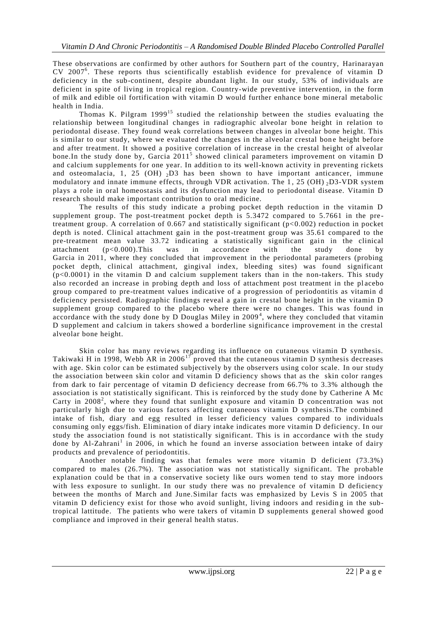These observations are confirmed by other authors for Southern part of the country, Harinarayan CV 2007<sup>6</sup> . These reports thus scientifically establish evidence for prevalence of vitamin D deficiency in the sub-continent, despite abundant light. In our study, 53% of individuals are deficient in spite of living in tropical region. Country-wide preventive intervention, in the form of milk and edible oil fortification with vitamin D would further enhance bone mineral metabolic health in India.

Thomas K. Pilgram 1999<sup>15</sup> studied the relationship between the studies evaluating the relationship between longitudinal changes in radiographic alveolar bone height in relation to periodontal disease. They found weak correlations between changes in alveolar bone height. This is similar to our study, where we evaluated the changes in the alveolar crestal bone height before and after treatment. It showed a positive correlation of increase in the crestal height of alveolar bone. In the study done by, Garcia 2011<sup>5</sup> showed clinical parameters improvement on vitamin D and calcium supplements for one year. In addition to its well-known activity in preventing rickets and osteomalacia, 1, 25 (OH)  $_2$ D3 has been shown to have important anticancer, immune modulatory and innate immune effects, through VDR activation. The 1, 25 (OH)  $_2$ D3-VDR system plays a role in oral homeostasis and its dysfunction may lead to periodontal disease. Vitamin D research should make important contribution to oral medicine.

The results of this study indicate a probing pocket depth reduction in the vitamin D supplement group. The post-treatment pocket depth is 5.3472 compared to 5.7661 in the pretreatment group. A correlation of  $0.667$  and statistically significant ( $p<0.002$ ) reduction in pocket depth is noted. Clinical attachment gain in the post-treatment group was 35.61 compared to the pre-treatment mean value  $33.72$  indicating a statistically significant gain in the clinical attachment  $(p<0.000)$ . This was in accordance with the study done by Garcia in 2011, where they concluded that improvement in the periodontal parameters (probing pocket depth, clinical attachment, gingival index, bleeding sites) was found significant (p<0.0001) in the vitamin D and calcium supplement takers than in the non-takers. This study also recorded an increase in probing depth and loss of attachment post treatment in the placebo group compared to pre-treatment values indicative of a progression of periodontitis as vitamin d deficiency persisted. Radiographic findings reveal a gain in crestal bone height in the vitamin D supplement group compared to the placebo where there were no changes. This was found in accordance with the study done by D Douglas Miley in  $2009<sup>4</sup>$ , where they concluded that vitamin D supplement and calcium in takers showed a borderline significance improvement in the crestal alveolar bone height.

Skin color has many reviews regarding its influence on cutaneous vitamin D synthesis. Takiwaki H in 1998, Webb AR in 2006<sup>17</sup> proved that the cutaneous vitamin D synthesis decreases with age. Skin color can be estimated subjectively by the observers using color scale. In our study the association between skin color and vitamin D deficiency shows that as the skin color ranges from dark to fair percentage of vitamin D deficiency decrease from 66.7% to 3.3% although the association is not statistically significant. This is reinforced by the study done by Catherine A Mc Carty in 2008<sup>2</sup>, where they found that sunlight exposure and vitamin D concentration was not particularly high due to various factors affecting cutaneous vitamin D synthesis.The combined intake of fish, diary and egg resulted in lesser deficiency values compared to individuals consuming only eggs/fish. Elimination of diary intake indicates more vitamin D deficiency. In our study the association found is not statistically significant. This is in accordance with the study done by Al-Zahrani<sup>1</sup> in 2006, in which he found an inverse association between intake of dairy products and prevalence of periodontitis.

Another notable finding was that females were more vitamin D deficient (73.3%) compared to males (26.7%). The association was not statistically significant. The probable explanation could be that in a conservative society like ours women tend to stay more indoors with less exposure to sunlight. In our study there was no prevalence of vitamin D deficiency between the months of March and June.Similar facts was emphasized by Levis S in 2005 that vitamin D deficiency exist for those who avoid sunlight, living indoors and residin g in the subtropical lattitude. The patients who were takers of vitamin D supplements general showed good compliance and improved in their general health status.